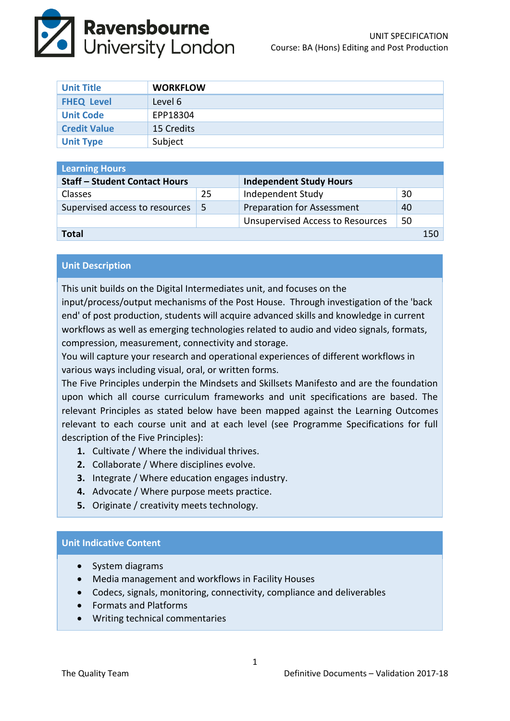

| <b>Unit Title</b>   | <b>WORKFLOW</b> |
|---------------------|-----------------|
| <b>FHEQ Level</b>   | Level 6         |
| <b>Unit Code</b>    | EPP18304        |
| <b>Credit Value</b> | 15 Credits      |
| <b>Unit Type</b>    | Subject         |

| <b>Learning Hours</b>                |    |                                         |    |     |  |  |
|--------------------------------------|----|-----------------------------------------|----|-----|--|--|
| <b>Staff - Student Contact Hours</b> |    | <b>Independent Study Hours</b>          |    |     |  |  |
| <b>Classes</b>                       | 25 | Independent Study                       | 30 |     |  |  |
| Supervised access to resources       | -5 | <b>Preparation for Assessment</b>       | 40 |     |  |  |
|                                      |    | <b>Unsupervised Access to Resources</b> | 50 |     |  |  |
| Total                                |    |                                         |    | 150 |  |  |

# **Unit Description**

This unit builds on the Digital Intermediates unit, and focuses on the input/process/output mechanisms of the Post House. Through investigation of the 'back end' of post production, students will acquire advanced skills and knowledge in current workflows as well as emerging technologies related to audio and video signals, formats, compression, measurement, connectivity and storage.

You will capture your research and operational experiences of different workflows in various ways including visual, oral, or written forms.

The Five Principles underpin the Mindsets and Skillsets Manifesto and are the foundation upon which all course curriculum frameworks and unit specifications are based. The relevant Principles as stated below have been mapped against the Learning Outcomes relevant to each course unit and at each level (see Programme Specifications for full description of the Five Principles):

- **1.** Cultivate / Where the individual thrives.
- **2.** Collaborate / Where disciplines evolve.
- **3.** Integrate / Where education engages industry.
- **4.** Advocate / Where purpose meets practice.
- **5.** Originate / creativity meets technology.

#### **Unit Indicative Content**

- System diagrams
- Media management and workflows in Facility Houses
- Codecs, signals, monitoring, connectivity, compliance and deliverables
- Formats and Platforms
- Writing technical commentaries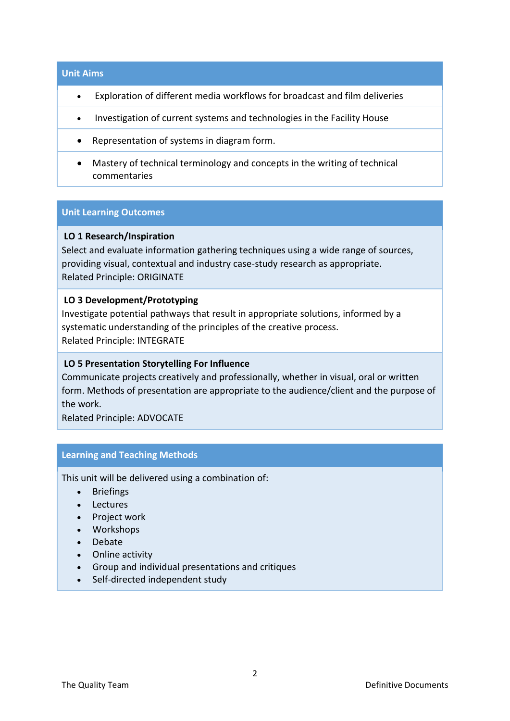#### **Unit Aims**

- Exploration of different media workflows for broadcast and film deliveries
- Investigation of current systems and technologies in the Facility House
- Representation of systems in diagram form.
- Mastery of technical terminology and concepts in the writing of technical commentaries

# **Unit Learning Outcomes**

# **LO 1 Research/Inspiration**

Select and evaluate information gathering techniques using a wide range of sources, providing visual, contextual and industry case-study research as appropriate. Related Principle: ORIGINATE

#### **LO 3 Development/Prototyping**

Investigate potential pathways that result in appropriate solutions, informed by a systematic understanding of the principles of the creative process. Related Principle: INTEGRATE

### **LO 5 Presentation Storytelling For Influence**

Communicate projects creatively and professionally, whether in visual, oral or written form. Methods of presentation are appropriate to the audience/client and the purpose of the work.

Related Principle: ADVOCATE

#### **Learning and Teaching Methods**

This unit will be delivered using a combination of:

- Briefings
- Lectures
- Project work
- Workshops
- Debate
- Online activity
- Group and individual presentations and critiques
- Self-directed independent study